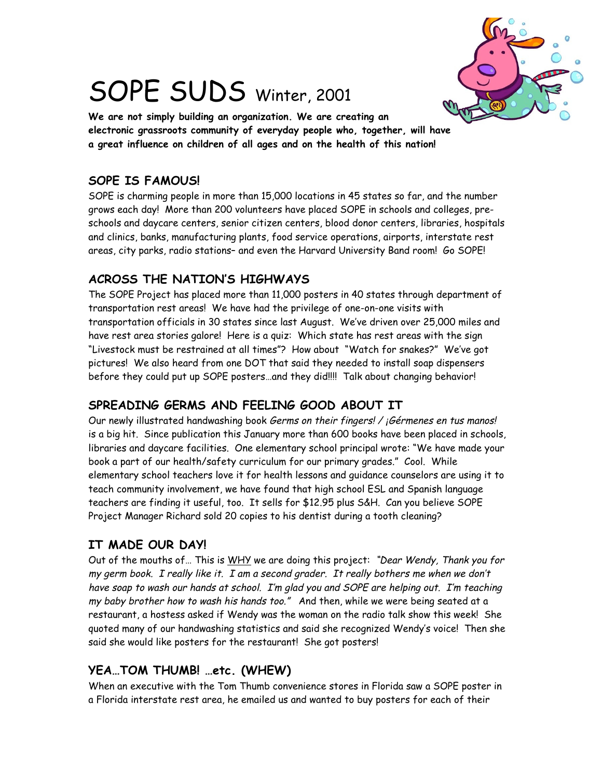

# SOPE SUDS Winter, 2001

**We are not simply building an organization. We are creating an electronic grassroots community of everyday people who, together, will have a great influence on children of all ages and on the health of this nation!**

#### **SOPE IS FAMOUS!**

SOPE is charming people in more than 15,000 locations in 45 states so far, and the number grows each day! More than 200 volunteers have placed SOPE in schools and colleges, preschools and daycare centers, senior citizen centers, blood donor centers, libraries, hospitals and clinics, banks, manufacturing plants, food service operations, airports, interstate rest areas, city parks, radio stations– and even the Harvard University Band room! Go SOPE!

# **ACROSS THE NATION'S HIGHWAYS**

The SOPE Project has placed more than 11,000 posters in 40 states through department of transportation rest areas! We have had the privilege of one-on-one visits with transportation officials in 30 states since last August. We've driven over 25,000 miles and have rest area stories galore! Here is a quiz: Which state has rest areas with the sign "Livestock must be restrained at all times"? How about "Watch for snakes?" We've got pictures! We also heard from one DOT that said they needed to install soap dispensers before they could put up SOPE posters…and they did!!!! Talk about changing behavior!

# **SPREADING GERMS AND FEELING GOOD ABOUT IT**

Our newly illustrated handwashing book Germs on their fingers! / *¡*Gérmenes en tus manos! is a big hit. Since publication this January more than 600 books have been placed in schools, libraries and daycare facilities. One elementary school principal wrote: "We have made your book a part of our health/safety curriculum for our primary grades." Cool. While elementary school teachers love it for health lessons and guidance counselors are using it to teach community involvement, we have found that high school ESL and Spanish language teachers are finding it useful, too. It sells for \$12.95 plus S&H. Can you believe SOPE Project Manager Richard sold 20 copies to his dentist during a tooth cleaning?

# **IT MADE OUR DAY!**

Out of the mouths of... This is WHY we are doing this project: "Dear Wendy, Thank you for my germ book. I really like it. I am a second grader. It really bothers me when we don't have soap to wash our hands at school. I'm glad you and SOPE are helping out. I'm teaching my baby brother how to wash his hands too." And then, while we were being seated at a restaurant, a hostess asked if Wendy was the woman on the radio talk show this week! She quoted many of our handwashing statistics and said she recognized Wendy's voice! Then she said she would like posters for the restaurant! She got posters!

# **YEA…TOM THUMB! …etc. (WHEW)**

When an executive with the Tom Thumb convenience stores in Florida saw a SOPE poster in a Florida interstate rest area, he emailed us and wanted to buy posters for each of their